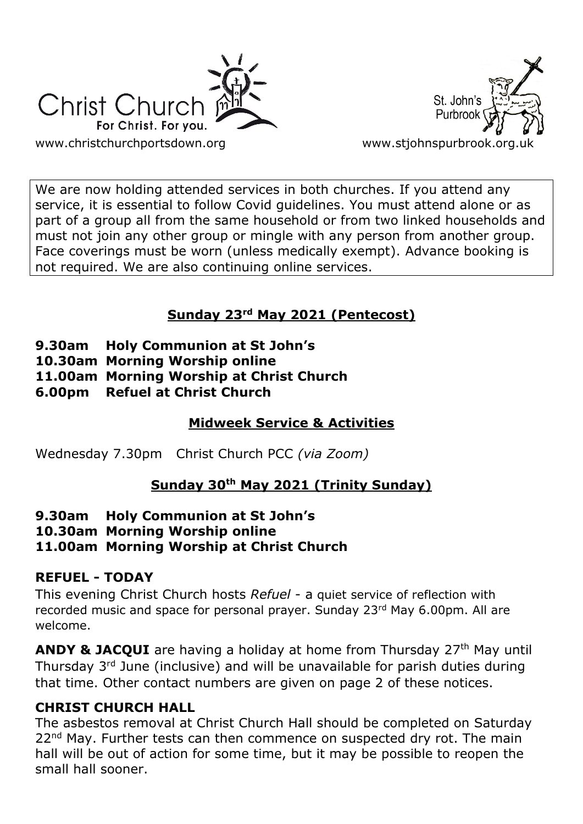



We are now holding attended services in both churches. If you attend any service, it is essential to follow Covid guidelines. You must attend alone or as part of a group all from the same household or from two linked households and must not join any other group or mingle with any person from another group. Face coverings must be worn (unless medically exempt). Advance booking is not required. We are also continuing online services.

# **Sunday 23rd May 2021 (Pentecost)**

- **9.30am Holy Communion at St John's**
- **10.30am Morning Worship online**
- **11.00am Morning Worship at Christ Church**
- **6.00pm Refuel at Christ Church**

# **Midweek Service & Activities**

Wednesday 7.30pm Christ Church PCC *(via Zoom)*

# **Sunday 30th May 2021 (Trinity Sunday)**

- **9.30am Holy Communion at St John's**
- **10.30am Morning Worship online**
- **11.00am Morning Worship at Christ Church**

## **REFUEL - TODAY**

This evening Christ Church hosts *Refuel* - a quiet service of reflection with recorded music and space for personal prayer. Sunday 23rd May 6.00pm. All are welcome.

**ANDY & JACQUI** are having a holiday at home from Thursday 27<sup>th</sup> May until Thursday 3rd June (inclusive) and will be unavailable for parish duties during that time. Other contact numbers are given on page 2 of these notices.

## **CHRIST CHURCH HALL**

The asbestos removal at Christ Church Hall should be completed on Saturday 22<sup>nd</sup> May. Further tests can then commence on suspected dry rot. The main hall will be out of action for some time, but it may be possible to reopen the small hall sooner.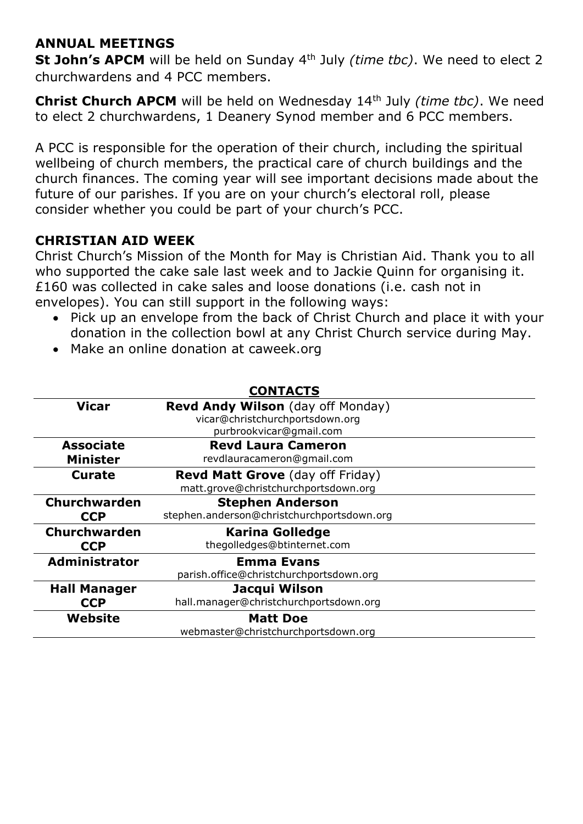## **ANNUAL MEETINGS**

**St John's APCM** will be held on Sunday 4th July *(time tbc)*. We need to elect 2 churchwardens and 4 PCC members.

**Christ Church APCM** will be held on Wednesday 14th July *(time tbc)*. We need to elect 2 churchwardens, 1 Deanery Synod member and 6 PCC members.

A PCC is responsible for the operation of their church, including the spiritual wellbeing of church members, the practical care of church buildings and the church finances. The coming year will see important decisions made about the future of our parishes. If you are on your church's electoral roll, please consider whether you could be part of your church's PCC.

## **CHRISTIAN AID WEEK**

Christ Church's Mission of the Month for May is Christian Aid. Thank you to all who supported the cake sale last week and to Jackie Quinn for organising it. £160 was collected in cake sales and loose donations (i.e. cash not in envelopes). You can still support in the following ways:

- Pick up an envelope from the back of Christ Church and place it with your donation in the collection bowl at any Christ Church service during May.
- Make an online donation at caweek.org

| <b>CONTACTS</b>      |                                            |
|----------------------|--------------------------------------------|
| <b>Vicar</b>         | Revd Andy Wilson (day off Monday)          |
|                      | vicar@christchurchportsdown.org            |
|                      | purbrookvicar@gmail.com                    |
| <b>Associate</b>     | <b>Revd Laura Cameron</b>                  |
| <b>Minister</b>      | revdlauracameron@gmail.com                 |
| <b>Curate</b>        | <b>Revd Matt Grove</b> (day off Friday)    |
|                      | matt.grove@christchurchportsdown.org       |
| <b>Churchwarden</b>  | <b>Stephen Anderson</b>                    |
| <b>CCP</b>           | stephen.anderson@christchurchportsdown.org |
| <b>Churchwarden</b>  | <b>Karina Golledge</b>                     |
| <b>CCP</b>           | thegolledges@btinternet.com                |
| <b>Administrator</b> | <b>Emma Evans</b>                          |
|                      | parish.office@christchurchportsdown.org    |
| <b>Hall Manager</b>  | Jacqui Wilson                              |
| <b>CCP</b>           | hall.manager@christchurchportsdown.org     |
| Website              | <b>Matt Doe</b>                            |
|                      | webmaster@christchurchportsdown.org        |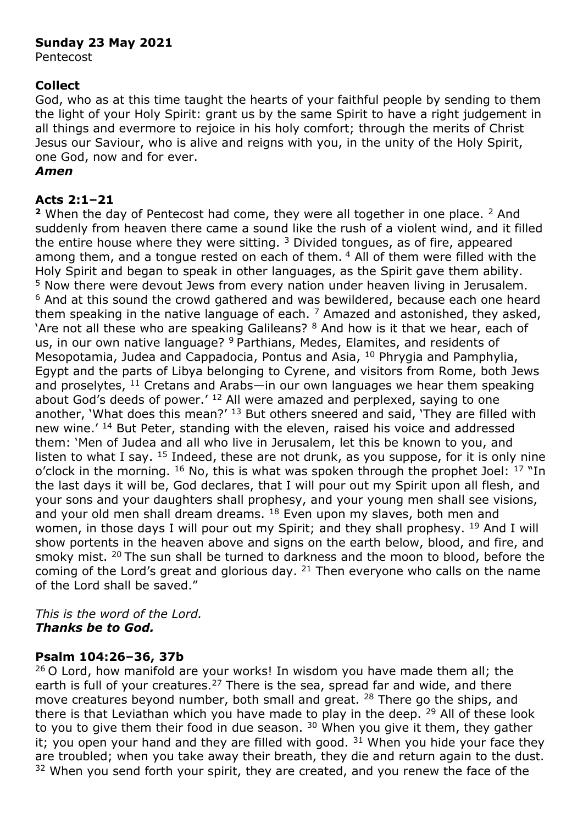#### **Sunday 23 May 2021**

Pentecost

#### **Collect**

God, who as at this time taught the hearts of your faithful people by sending to them the light of your Holy Spirit: grant us by the same Spirit to have a right judgement in all things and evermore to rejoice in his holy comfort; through the merits of Christ Jesus our Saviour, who is alive and reigns with you, in the unity of the Holy Spirit, one God, now and for ever.

#### *Amen*

## **Acts 2:1–21**

**<sup>2</sup>** When the day of Pentecost had come, they were all together in one place. <sup>2</sup> And suddenly from heaven there came a sound like the rush of a violent wind, and it filled the entire house where they were sitting.  $3$  Divided tongues, as of fire, appeared among them, and a tongue rested on each of them. <sup>4</sup> All of them were filled with the Holy Spirit and began to speak in other languages, as the Spirit gave them ability. <sup>5</sup> Now there were devout Jews from every nation under heaven living in Jerusalem. <sup>6</sup> And at this sound the crowd gathered and was bewildered, because each one heard them speaking in the native language of each.  $<sup>7</sup>$  Amazed and astonished, they asked,</sup> 'Are not all these who are speaking Galileans? <sup>8</sup> And how is it that we hear, each of us, in our own native language? <sup>9</sup> Parthians, Medes, Elamites, and residents of Mesopotamia, Judea and Cappadocia, Pontus and Asia, <sup>10</sup> Phrygia and Pamphylia, Egypt and the parts of Libya belonging to Cyrene, and visitors from Rome, both Jews and proselytes, <sup>11</sup> Cretans and Arabs—in our own languages we hear them speaking about God's deeds of power.' <sup>12</sup> All were amazed and perplexed, saying to one another, 'What does this mean?' <sup>13</sup> But others sneered and said, 'They are filled with new wine.' <sup>14</sup> But Peter, standing with the eleven, raised his voice and addressed them: 'Men of Judea and all who live in Jerusalem, let this be known to you, and listen to what I say,  $15$  Indeed, these are not drunk, as you suppose, for it is only nine o'clock in the morning.  $^{16}$  No, this is what was spoken through the prophet Joel:  $^{17}$  "In the last days it will be, God declares, that I will pour out my Spirit upon all flesh, and your sons and your daughters shall prophesy, and your young men shall see visions, and your old men shall dream dreams.  $18$  Even upon my slaves, both men and women, in those days I will pour out my Spirit; and they shall prophesy. <sup>19</sup> And I will show portents in the heaven above and signs on the earth below, blood, and fire, and smoky mist. <sup>20</sup> The sun shall be turned to darkness and the moon to blood, before the coming of the Lord's great and glorious day. <sup>21</sup> Then everyone who calls on the name of the Lord shall be saved."

#### *This is the word of the Lord. Thanks be to God.*

### **Psalm 104:26–36, 37b**

<sup>26</sup> O Lord, how manifold are your works! In wisdom you have made them all; the earth is full of your creatures.<sup>27</sup> There is the sea, spread far and wide, and there move creatures beyond number, both small and great. <sup>28</sup> There go the ships, and there is that Leviathan which you have made to play in the deep. <sup>29</sup> All of these look to you to give them their food in due season.  $30$  When you give it them, they gather it; you open your hand and they are filled with good.  $31$  When you hide your face they are troubled; when you take away their breath, they die and return again to the dust. <sup>32</sup> When you send forth your spirit, they are created, and you renew the face of the